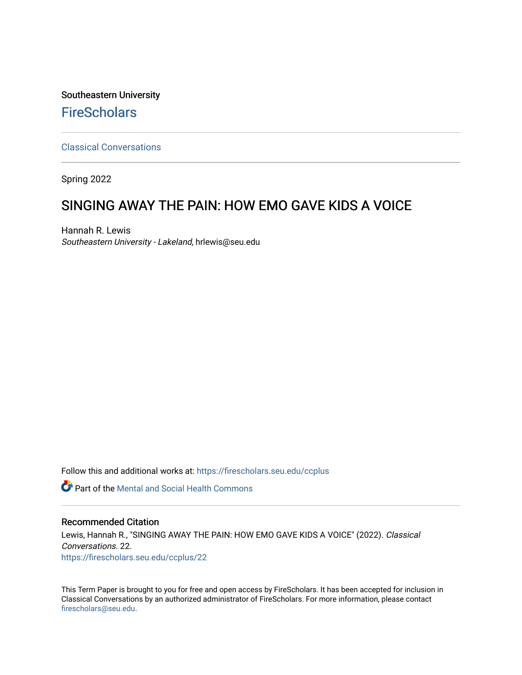Southeastern University **FireScholars** 

[Classical Conversations](https://firescholars.seu.edu/ccplus)

Spring 2022

# SINGING AWAY THE PAIN: HOW EMO GAVE KIDS A VOICE

Hannah R. Lewis Southeastern University - Lakeland, hrlewis@seu.edu

Follow this and additional works at: [https://firescholars.seu.edu/ccplus](https://firescholars.seu.edu/ccplus?utm_source=firescholars.seu.edu%2Fccplus%2F22&utm_medium=PDF&utm_campaign=PDFCoverPages)

Part of the [Mental and Social Health Commons](https://network.bepress.com/hgg/discipline/709?utm_source=firescholars.seu.edu%2Fccplus%2F22&utm_medium=PDF&utm_campaign=PDFCoverPages) 

# Recommended Citation

Lewis, Hannah R., "SINGING AWAY THE PAIN: HOW EMO GAVE KIDS A VOICE" (2022). Classical Conversations. 22. [https://firescholars.seu.edu/ccplus/22](https://firescholars.seu.edu/ccplus/22?utm_source=firescholars.seu.edu%2Fccplus%2F22&utm_medium=PDF&utm_campaign=PDFCoverPages) 

This Term Paper is brought to you for free and open access by FireScholars. It has been accepted for inclusion in Classical Conversations by an authorized administrator of FireScholars. For more information, please contact [firescholars@seu.edu.](mailto:firescholars@seu.edu)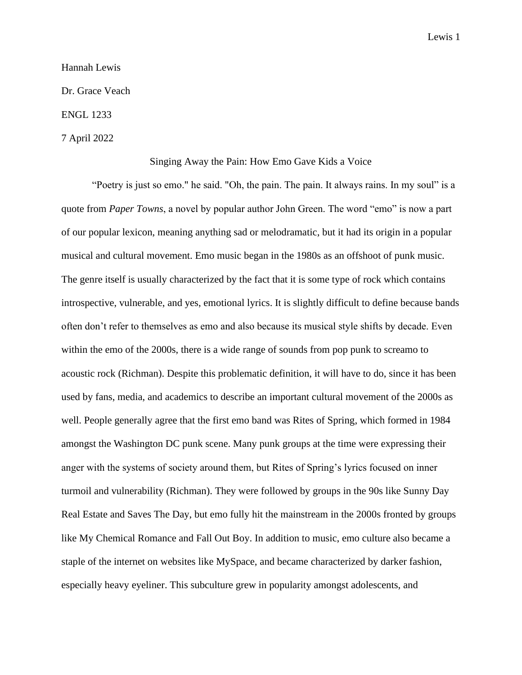## Hannah Lewis

Dr. Grace Veach

## ENGL 1233

## 7 April 2022

#### Singing Away the Pain: How Emo Gave Kids a Voice

"Poetry is just so emo." he said. "Oh, the pain. The pain. It always rains. In my soul" is a quote from *Paper Towns*, a novel by popular author John Green. The word "emo" is now a part of our popular lexicon, meaning anything sad or melodramatic, but it had its origin in a popular musical and cultural movement. Emo music began in the 1980s as an offshoot of punk music. The genre itself is usually characterized by the fact that it is some type of rock which contains introspective, vulnerable, and yes, emotional lyrics. It is slightly difficult to define because bands often don't refer to themselves as emo and also because its musical style shifts by decade. Even within the emo of the 2000s, there is a wide range of sounds from pop punk to screamo to acoustic rock (Richman). Despite this problematic definition, it will have to do, since it has been used by fans, media, and academics to describe an important cultural movement of the 2000s as well. People generally agree that the first emo band was Rites of Spring, which formed in 1984 amongst the Washington DC punk scene. Many punk groups at the time were expressing their anger with the systems of society around them, but Rites of Spring's lyrics focused on inner turmoil and vulnerability (Richman). They were followed by groups in the 90s like Sunny Day Real Estate and Saves The Day, but emo fully hit the mainstream in the 2000s fronted by groups like My Chemical Romance and Fall Out Boy. In addition to music, emo culture also became a staple of the internet on websites like MySpace, and became characterized by darker fashion, especially heavy eyeliner. This subculture grew in popularity amongst adolescents, and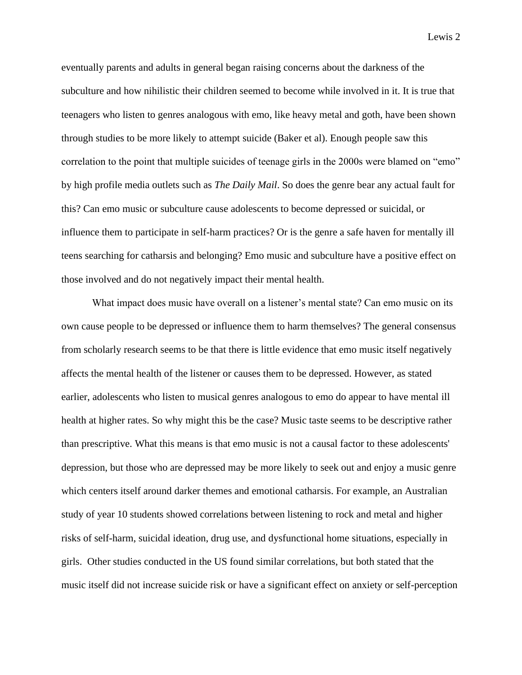eventually parents and adults in general began raising concerns about the darkness of the subculture and how nihilistic their children seemed to become while involved in it. It is true that teenagers who listen to genres analogous with emo, like heavy metal and goth, have been shown through studies to be more likely to attempt suicide (Baker et al). Enough people saw this correlation to the point that multiple suicides of teenage girls in the 2000s were blamed on "emo" by high profile media outlets such as *The Daily Mail*. So does the genre bear any actual fault for this? Can emo music or subculture cause adolescents to become depressed or suicidal, or influence them to participate in self-harm practices? Or is the genre a safe haven for mentally ill teens searching for catharsis and belonging? Emo music and subculture have a positive effect on those involved and do not negatively impact their mental health.

What impact does music have overall on a listener's mental state? Can emo music on its own cause people to be depressed or influence them to harm themselves? The general consensus from scholarly research seems to be that there is little evidence that emo music itself negatively affects the mental health of the listener or causes them to be depressed. However, as stated earlier, adolescents who listen to musical genres analogous to emo do appear to have mental ill health at higher rates. So why might this be the case? Music taste seems to be descriptive rather than prescriptive. What this means is that emo music is not a causal factor to these adolescents' depression, but those who are depressed may be more likely to seek out and enjoy a music genre which centers itself around darker themes and emotional catharsis. For example, an Australian study of year 10 students showed correlations between listening to rock and metal and higher risks of self-harm, suicidal ideation, drug use, and dysfunctional home situations, especially in girls. Other studies conducted in the US found similar correlations, but both stated that the music itself did not increase suicide risk or have a significant effect on anxiety or self-perception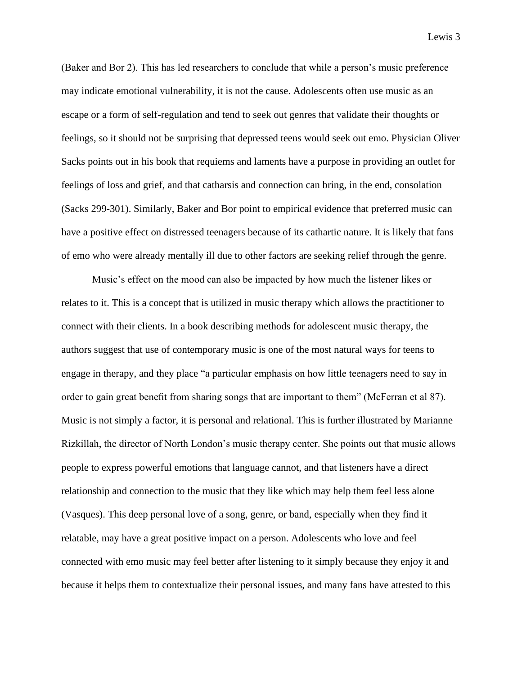(Baker and Bor 2). This has led researchers to conclude that while a person's music preference may indicate emotional vulnerability, it is not the cause. Adolescents often use music as an escape or a form of self-regulation and tend to seek out genres that validate their thoughts or feelings, so it should not be surprising that depressed teens would seek out emo. Physician Oliver Sacks points out in his book that requiems and laments have a purpose in providing an outlet for feelings of loss and grief, and that catharsis and connection can bring, in the end, consolation (Sacks 299-301). Similarly, Baker and Bor point to empirical evidence that preferred music can have a positive effect on distressed teenagers because of its cathartic nature. It is likely that fans of emo who were already mentally ill due to other factors are seeking relief through the genre.

Music's effect on the mood can also be impacted by how much the listener likes or relates to it. This is a concept that is utilized in music therapy which allows the practitioner to connect with their clients. In a book describing methods for adolescent music therapy, the authors suggest that use of contemporary music is one of the most natural ways for teens to engage in therapy, and they place "a particular emphasis on how little teenagers need to say in order to gain great benefit from sharing songs that are important to them" (McFerran et al 87). Music is not simply a factor, it is personal and relational. This is further illustrated by Marianne Rizkillah, the director of North London's music therapy center. She points out that music allows people to express powerful emotions that language cannot, and that listeners have a direct relationship and connection to the music that they like which may help them feel less alone (Vasques). This deep personal love of a song, genre, or band, especially when they find it relatable, may have a great positive impact on a person. Adolescents who love and feel connected with emo music may feel better after listening to it simply because they enjoy it and because it helps them to contextualize their personal issues, and many fans have attested to this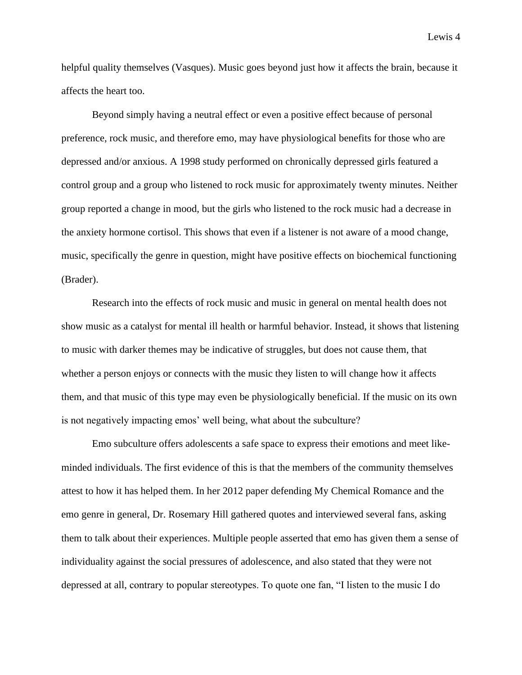helpful quality themselves (Vasques). Music goes beyond just how it affects the brain, because it affects the heart too.

Beyond simply having a neutral effect or even a positive effect because of personal preference, rock music, and therefore emo, may have physiological benefits for those who are depressed and/or anxious. A 1998 study performed on chronically depressed girls featured a control group and a group who listened to rock music for approximately twenty minutes. Neither group reported a change in mood, but the girls who listened to the rock music had a decrease in the anxiety hormone cortisol. This shows that even if a listener is not aware of a mood change, music, specifically the genre in question, might have positive effects on biochemical functioning (Brader).

Research into the effects of rock music and music in general on mental health does not show music as a catalyst for mental ill health or harmful behavior. Instead, it shows that listening to music with darker themes may be indicative of struggles, but does not cause them, that whether a person enjoys or connects with the music they listen to will change how it affects them, and that music of this type may even be physiologically beneficial. If the music on its own is not negatively impacting emos' well being, what about the subculture?

Emo subculture offers adolescents a safe space to express their emotions and meet likeminded individuals. The first evidence of this is that the members of the community themselves attest to how it has helped them. In her 2012 paper defending My Chemical Romance and the emo genre in general, Dr. Rosemary Hill gathered quotes and interviewed several fans, asking them to talk about their experiences. Multiple people asserted that emo has given them a sense of individuality against the social pressures of adolescence, and also stated that they were not depressed at all, contrary to popular stereotypes. To quote one fan, "I listen to the music I do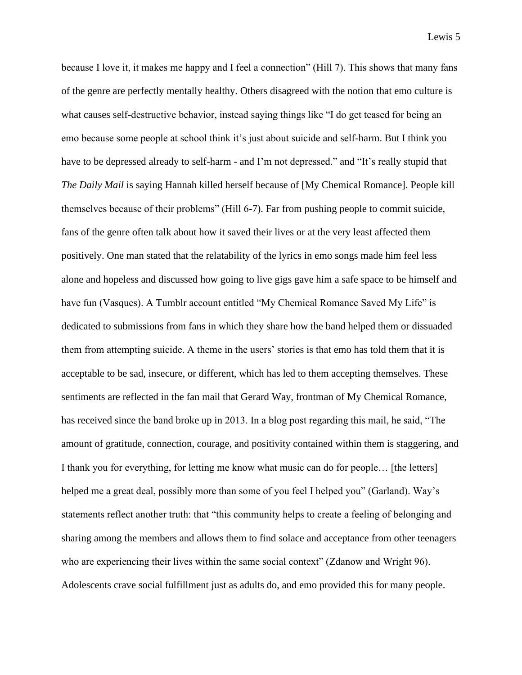because I love it, it makes me happy and I feel a connection" (Hill 7). This shows that many fans of the genre are perfectly mentally healthy. Others disagreed with the notion that emo culture is what causes self-destructive behavior, instead saying things like "I do get teased for being an emo because some people at school think it's just about suicide and self-harm. But I think you have to be depressed already to self-harm - and I'm not depressed." and "It's really stupid that *The Daily Mail* is saying Hannah killed herself because of [My Chemical Romance]. People kill themselves because of their problems" (Hill 6-7). Far from pushing people to commit suicide, fans of the genre often talk about how it saved their lives or at the very least affected them positively. One man stated that the relatability of the lyrics in emo songs made him feel less alone and hopeless and discussed how going to live gigs gave him a safe space to be himself and have fun (Vasques). A Tumblr account entitled "My Chemical Romance Saved My Life" is dedicated to submissions from fans in which they share how the band helped them or dissuaded them from attempting suicide. A theme in the users' stories is that emo has told them that it is acceptable to be sad, insecure, or different, which has led to them accepting themselves. These sentiments are reflected in the fan mail that Gerard Way, frontman of My Chemical Romance, has received since the band broke up in 2013. In a blog post regarding this mail, he said, "The amount of gratitude, connection, courage, and positivity contained within them is staggering, and I thank you for everything, for letting me know what music can do for people… [the letters] helped me a great deal, possibly more than some of you feel I helped you" (Garland). Way's statements reflect another truth: that "this community helps to create a feeling of belonging and sharing among the members and allows them to find solace and acceptance from other teenagers who are experiencing their lives within the same social context" (Zdanow and Wright 96). Adolescents crave social fulfillment just as adults do, and emo provided this for many people.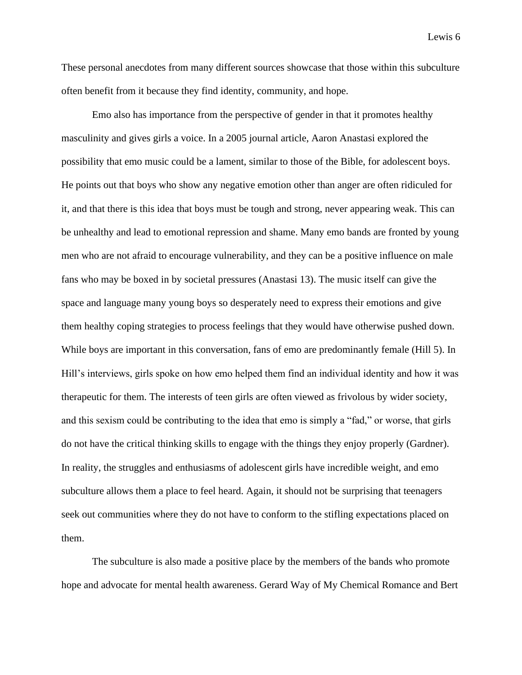These personal anecdotes from many different sources showcase that those within this subculture often benefit from it because they find identity, community, and hope.

Emo also has importance from the perspective of gender in that it promotes healthy masculinity and gives girls a voice. In a 2005 journal article, Aaron Anastasi explored the possibility that emo music could be a lament, similar to those of the Bible, for adolescent boys. He points out that boys who show any negative emotion other than anger are often ridiculed for it, and that there is this idea that boys must be tough and strong, never appearing weak. This can be unhealthy and lead to emotional repression and shame. Many emo bands are fronted by young men who are not afraid to encourage vulnerability, and they can be a positive influence on male fans who may be boxed in by societal pressures (Anastasi 13). The music itself can give the space and language many young boys so desperately need to express their emotions and give them healthy coping strategies to process feelings that they would have otherwise pushed down. While boys are important in this conversation, fans of emo are predominantly female (Hill 5). In Hill's interviews, girls spoke on how emo helped them find an individual identity and how it was therapeutic for them. The interests of teen girls are often viewed as frivolous by wider society, and this sexism could be contributing to the idea that emo is simply a "fad," or worse, that girls do not have the critical thinking skills to engage with the things they enjoy properly (Gardner). In reality, the struggles and enthusiasms of adolescent girls have incredible weight, and emo subculture allows them a place to feel heard. Again, it should not be surprising that teenagers seek out communities where they do not have to conform to the stifling expectations placed on them.

The subculture is also made a positive place by the members of the bands who promote hope and advocate for mental health awareness. Gerard Way of My Chemical Romance and Bert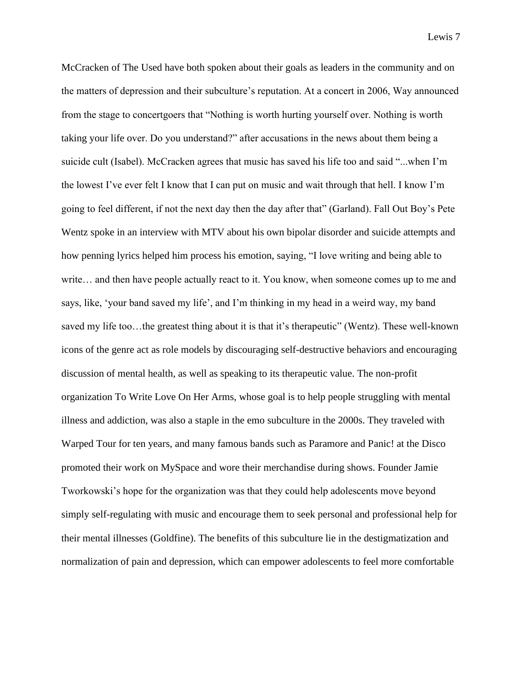McCracken of The Used have both spoken about their goals as leaders in the community and on the matters of depression and their subculture's reputation. At a concert in 2006, Way announced from the stage to concertgoers that "Nothing is worth hurting yourself over. Nothing is worth taking your life over. Do you understand?" after accusations in the news about them being a suicide cult (Isabel). McCracken agrees that music has saved his life too and said "...when I'm the lowest I've ever felt I know that I can put on music and wait through that hell. I know I'm going to feel different, if not the next day then the day after that" (Garland). Fall Out Boy's Pete Wentz spoke in an interview with MTV about his own bipolar disorder and suicide attempts and how penning lyrics helped him process his emotion, saying, "I love writing and being able to write… and then have people actually react to it. You know, when someone comes up to me and says, like, 'your band saved my life', and I'm thinking in my head in a weird way, my band saved my life too…the greatest thing about it is that it's therapeutic" (Wentz). These well-known icons of the genre act as role models by discouraging self-destructive behaviors and encouraging discussion of mental health, as well as speaking to its therapeutic value. The non-profit organization To Write Love On Her Arms, whose goal is to help people struggling with mental illness and addiction, was also a staple in the emo subculture in the 2000s. They traveled with Warped Tour for ten years, and many famous bands such as Paramore and Panic! at the Disco promoted their work on MySpace and wore their merchandise during shows. Founder Jamie Tworkowski's hope for the organization was that they could help adolescents move beyond simply self-regulating with music and encourage them to seek personal and professional help for their mental illnesses (Goldfine). The benefits of this subculture lie in the destigmatization and normalization of pain and depression, which can empower adolescents to feel more comfortable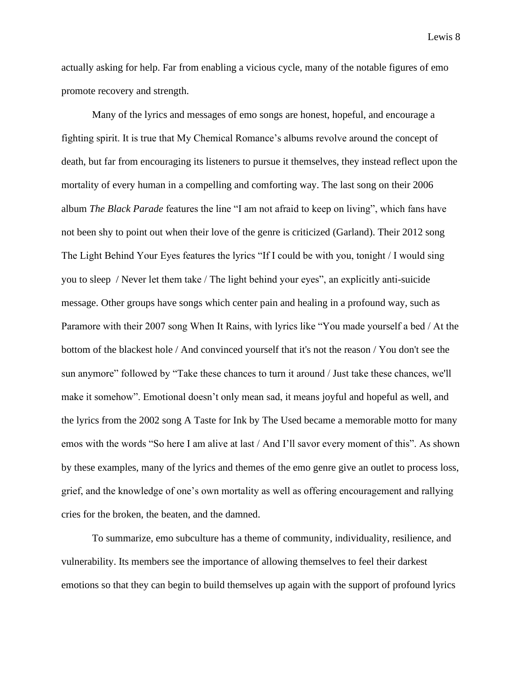actually asking for help. Far from enabling a vicious cycle, many of the notable figures of emo promote recovery and strength.

Many of the lyrics and messages of emo songs are honest, hopeful, and encourage a fighting spirit. It is true that My Chemical Romance's albums revolve around the concept of death, but far from encouraging its listeners to pursue it themselves, they instead reflect upon the mortality of every human in a compelling and comforting way. The last song on their 2006 album *The Black Parade* features the line "I am not afraid to keep on living", which fans have not been shy to point out when their love of the genre is criticized (Garland). Their 2012 song The Light Behind Your Eyes features the lyrics "If I could be with you, tonight / I would sing you to sleep / Never let them take / The light behind your eyes", an explicitly anti-suicide message. Other groups have songs which center pain and healing in a profound way, such as Paramore with their 2007 song When It Rains, with lyrics like "You made yourself a bed / At the bottom of the blackest hole / And convinced yourself that it's not the reason / You don't see the sun anymore" followed by "Take these chances to turn it around / Just take these chances, we'll make it somehow". Emotional doesn't only mean sad, it means joyful and hopeful as well, and the lyrics from the 2002 song A Taste for Ink by The Used became a memorable motto for many emos with the words "So here I am alive at last / And I'll savor every moment of this". As shown by these examples, many of the lyrics and themes of the emo genre give an outlet to process loss, grief, and the knowledge of one's own mortality as well as offering encouragement and rallying cries for the broken, the beaten, and the damned.

To summarize, emo subculture has a theme of community, individuality, resilience, and vulnerability. Its members see the importance of allowing themselves to feel their darkest emotions so that they can begin to build themselves up again with the support of profound lyrics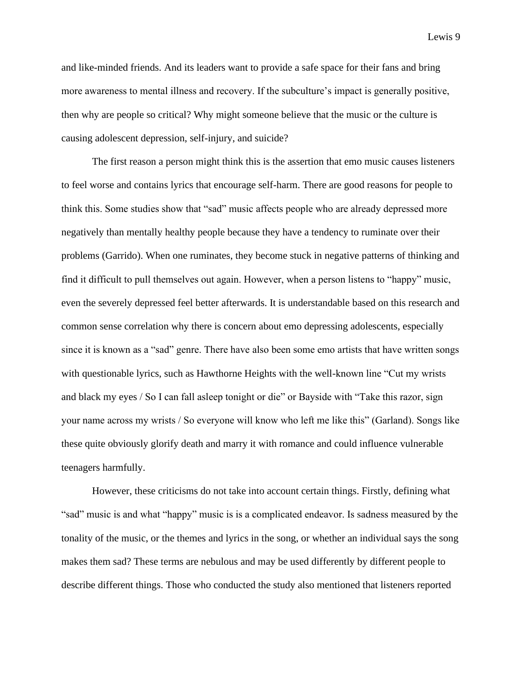and like-minded friends. And its leaders want to provide a safe space for their fans and bring more awareness to mental illness and recovery. If the subculture's impact is generally positive, then why are people so critical? Why might someone believe that the music or the culture is causing adolescent depression, self-injury, and suicide?

The first reason a person might think this is the assertion that emo music causes listeners to feel worse and contains lyrics that encourage self-harm. There are good reasons for people to think this. Some studies show that "sad" music affects people who are already depressed more negatively than mentally healthy people because they have a tendency to ruminate over their problems (Garrido). When one ruminates, they become stuck in negative patterns of thinking and find it difficult to pull themselves out again. However, when a person listens to "happy" music, even the severely depressed feel better afterwards. It is understandable based on this research and common sense correlation why there is concern about emo depressing adolescents, especially since it is known as a "sad" genre. There have also been some emo artists that have written songs with questionable lyrics, such as Hawthorne Heights with the well-known line "Cut my wrists and black my eyes / So I can fall asleep tonight or die" or Bayside with "Take this razor, sign your name across my wrists / So everyone will know who left me like this" (Garland). Songs like these quite obviously glorify death and marry it with romance and could influence vulnerable teenagers harmfully.

However, these criticisms do not take into account certain things. Firstly, defining what "sad" music is and what "happy" music is is a complicated endeavor. Is sadness measured by the tonality of the music, or the themes and lyrics in the song, or whether an individual says the song makes them sad? These terms are nebulous and may be used differently by different people to describe different things. Those who conducted the study also mentioned that listeners reported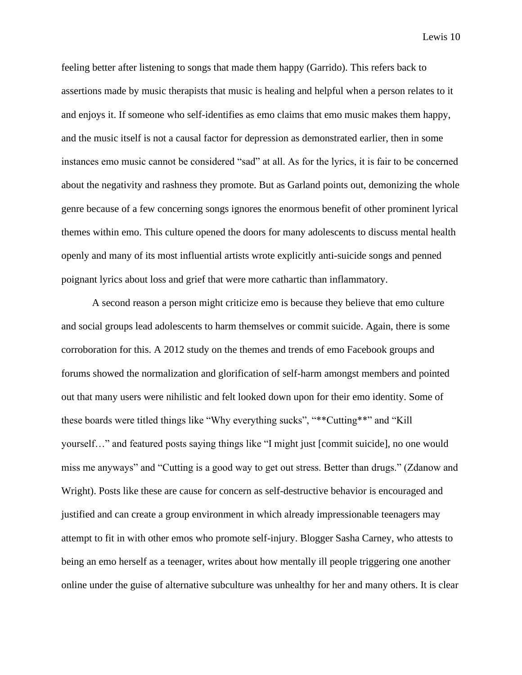feeling better after listening to songs that made them happy (Garrido). This refers back to assertions made by music therapists that music is healing and helpful when a person relates to it and enjoys it. If someone who self-identifies as emo claims that emo music makes them happy, and the music itself is not a causal factor for depression as demonstrated earlier, then in some instances emo music cannot be considered "sad" at all. As for the lyrics, it is fair to be concerned about the negativity and rashness they promote. But as Garland points out, demonizing the whole genre because of a few concerning songs ignores the enormous benefit of other prominent lyrical themes within emo. This culture opened the doors for many adolescents to discuss mental health openly and many of its most influential artists wrote explicitly anti-suicide songs and penned poignant lyrics about loss and grief that were more cathartic than inflammatory.

A second reason a person might criticize emo is because they believe that emo culture and social groups lead adolescents to harm themselves or commit suicide. Again, there is some corroboration for this. A 2012 study on the themes and trends of emo Facebook groups and forums showed the normalization and glorification of self-harm amongst members and pointed out that many users were nihilistic and felt looked down upon for their emo identity. Some of these boards were titled things like "Why everything sucks", "\*\*Cutting\*\*" and "Kill yourself…" and featured posts saying things like "I might just [commit suicide], no one would miss me anyways" and "Cutting is a good way to get out stress. Better than drugs." (Zdanow and Wright). Posts like these are cause for concern as self-destructive behavior is encouraged and justified and can create a group environment in which already impressionable teenagers may attempt to fit in with other emos who promote self-injury. Blogger Sasha Carney, who attests to being an emo herself as a teenager, writes about how mentally ill people triggering one another online under the guise of alternative subculture was unhealthy for her and many others. It is clear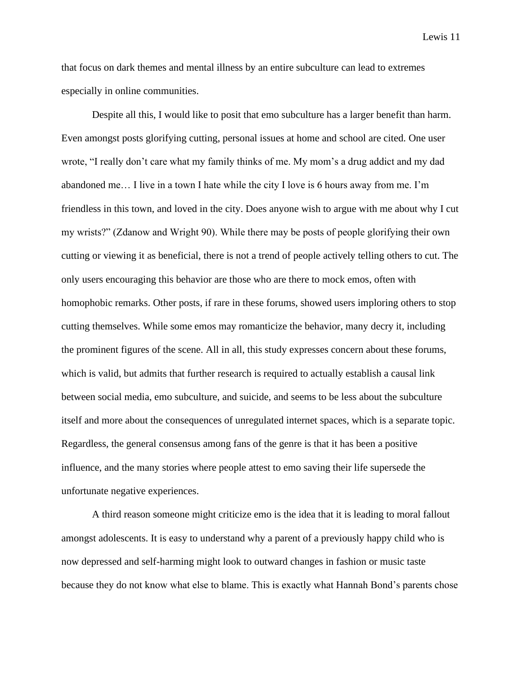that focus on dark themes and mental illness by an entire subculture can lead to extremes especially in online communities.

Despite all this, I would like to posit that emo subculture has a larger benefit than harm. Even amongst posts glorifying cutting, personal issues at home and school are cited. One user wrote, "I really don't care what my family thinks of me. My mom's a drug addict and my dad abandoned me… I live in a town I hate while the city I love is 6 hours away from me. I'm friendless in this town, and loved in the city. Does anyone wish to argue with me about why I cut my wrists?" (Zdanow and Wright 90). While there may be posts of people glorifying their own cutting or viewing it as beneficial, there is not a trend of people actively telling others to cut. The only users encouraging this behavior are those who are there to mock emos, often with homophobic remarks. Other posts, if rare in these forums, showed users imploring others to stop cutting themselves. While some emos may romanticize the behavior, many decry it, including the prominent figures of the scene. All in all, this study expresses concern about these forums, which is valid, but admits that further research is required to actually establish a causal link between social media, emo subculture, and suicide, and seems to be less about the subculture itself and more about the consequences of unregulated internet spaces, which is a separate topic. Regardless, the general consensus among fans of the genre is that it has been a positive influence, and the many stories where people attest to emo saving their life supersede the unfortunate negative experiences.

A third reason someone might criticize emo is the idea that it is leading to moral fallout amongst adolescents. It is easy to understand why a parent of a previously happy child who is now depressed and self-harming might look to outward changes in fashion or music taste because they do not know what else to blame. This is exactly what Hannah Bond's parents chose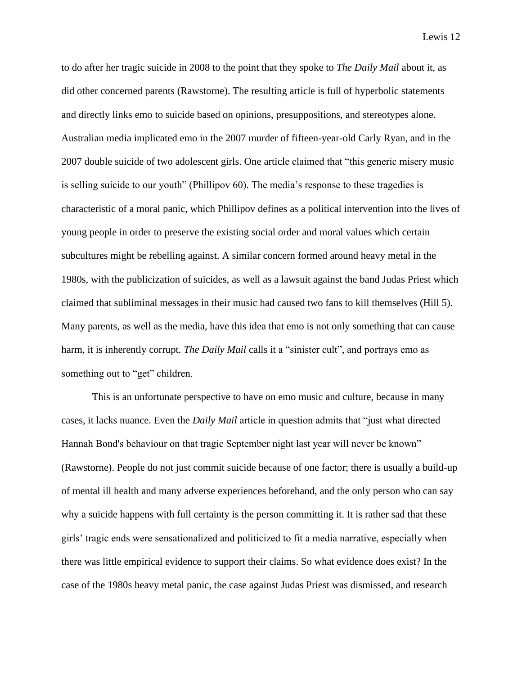to do after her tragic suicide in 2008 to the point that they spoke to *The Daily Mail* about it, as did other concerned parents (Rawstorne). The resulting article is full of hyperbolic statements and directly links emo to suicide based on opinions, presuppositions, and stereotypes alone. Australian media implicated emo in the 2007 murder of fifteen-year-old Carly Ryan, and in the 2007 double suicide of two adolescent girls. One article claimed that "this generic misery music is selling suicide to our youth" (Phillipov 60). The media's response to these tragedies is characteristic of a moral panic, which Phillipov defines as a political intervention into the lives of young people in order to preserve the existing social order and moral values which certain subcultures might be rebelling against. A similar concern formed around heavy metal in the 1980s, with the publicization of suicides, as well as a lawsuit against the band Judas Priest which claimed that subliminal messages in their music had caused two fans to kill themselves (Hill 5). Many parents, as well as the media, have this idea that emo is not only something that can cause harm, it is inherently corrupt. *The Daily Mail* calls it a "sinister cult", and portrays emo as something out to "get" children.

This is an unfortunate perspective to have on emo music and culture, because in many cases, it lacks nuance. Even the *Daily Mail* article in question admits that "just what directed Hannah Bond's behaviour on that tragic September night last year will never be known" (Rawstorne). People do not just commit suicide because of one factor; there is usually a build-up of mental ill health and many adverse experiences beforehand, and the only person who can say why a suicide happens with full certainty is the person committing it. It is rather sad that these girls' tragic ends were sensationalized and politicized to fit a media narrative, especially when there was little empirical evidence to support their claims. So what evidence does exist? In the case of the 1980s heavy metal panic, the case against Judas Priest was dismissed, and research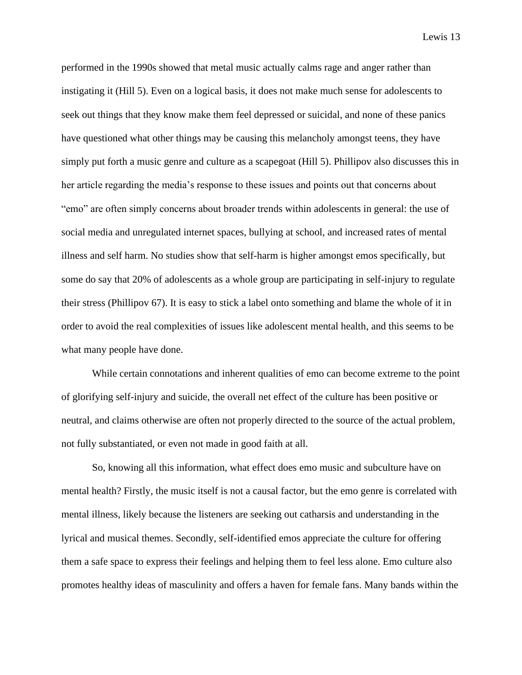performed in the 1990s showed that metal music actually calms rage and anger rather than instigating it (Hill 5). Even on a logical basis, it does not make much sense for adolescents to seek out things that they know make them feel depressed or suicidal, and none of these panics have questioned what other things may be causing this melancholy amongst teens, they have simply put forth a music genre and culture as a scapegoat (Hill 5). Phillipov also discusses this in her article regarding the media's response to these issues and points out that concerns about "emo" are often simply concerns about broader trends within adolescents in general: the use of social media and unregulated internet spaces, bullying at school, and increased rates of mental illness and self harm. No studies show that self-harm is higher amongst emos specifically, but some do say that 20% of adolescents as a whole group are participating in self-injury to regulate their stress (Phillipov 67). It is easy to stick a label onto something and blame the whole of it in order to avoid the real complexities of issues like adolescent mental health, and this seems to be what many people have done.

While certain connotations and inherent qualities of emo can become extreme to the point of glorifying self-injury and suicide, the overall net effect of the culture has been positive or neutral, and claims otherwise are often not properly directed to the source of the actual problem, not fully substantiated, or even not made in good faith at all.

So, knowing all this information, what effect does emo music and subculture have on mental health? Firstly, the music itself is not a causal factor, but the emo genre is correlated with mental illness, likely because the listeners are seeking out catharsis and understanding in the lyrical and musical themes. Secondly, self-identified emos appreciate the culture for offering them a safe space to express their feelings and helping them to feel less alone. Emo culture also promotes healthy ideas of masculinity and offers a haven for female fans. Many bands within the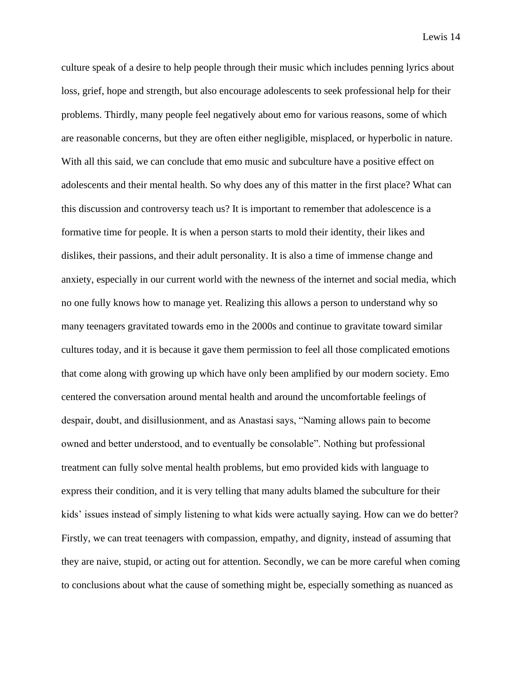culture speak of a desire to help people through their music which includes penning lyrics about loss, grief, hope and strength, but also encourage adolescents to seek professional help for their problems. Thirdly, many people feel negatively about emo for various reasons, some of which are reasonable concerns, but they are often either negligible, misplaced, or hyperbolic in nature. With all this said, we can conclude that emo music and subculture have a positive effect on adolescents and their mental health. So why does any of this matter in the first place? What can this discussion and controversy teach us? It is important to remember that adolescence is a formative time for people. It is when a person starts to mold their identity, their likes and dislikes, their passions, and their adult personality. It is also a time of immense change and anxiety, especially in our current world with the newness of the internet and social media, which no one fully knows how to manage yet. Realizing this allows a person to understand why so many teenagers gravitated towards emo in the 2000s and continue to gravitate toward similar cultures today, and it is because it gave them permission to feel all those complicated emotions that come along with growing up which have only been amplified by our modern society. Emo centered the conversation around mental health and around the uncomfortable feelings of despair, doubt, and disillusionment, and as Anastasi says, "Naming allows pain to become owned and better understood, and to eventually be consolable". Nothing but professional treatment can fully solve mental health problems, but emo provided kids with language to express their condition, and it is very telling that many adults blamed the subculture for their kids' issues instead of simply listening to what kids were actually saying. How can we do better? Firstly, we can treat teenagers with compassion, empathy, and dignity, instead of assuming that they are naive, stupid, or acting out for attention. Secondly, we can be more careful when coming to conclusions about what the cause of something might be, especially something as nuanced as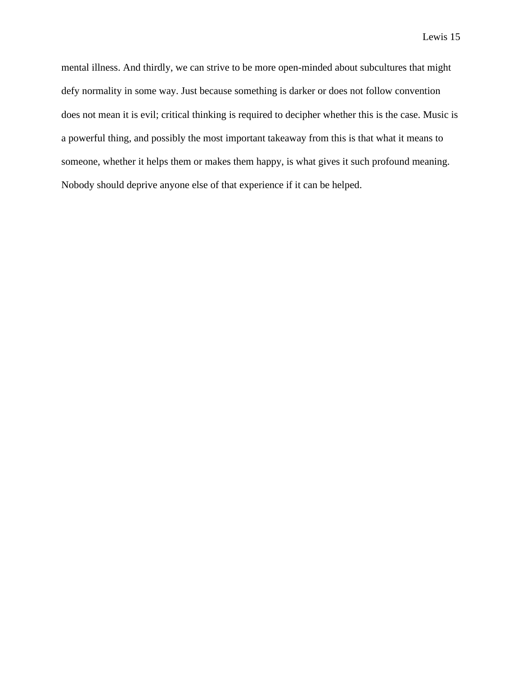mental illness. And thirdly, we can strive to be more open-minded about subcultures that might defy normality in some way. Just because something is darker or does not follow convention does not mean it is evil; critical thinking is required to decipher whether this is the case. Music is a powerful thing, and possibly the most important takeaway from this is that what it means to someone, whether it helps them or makes them happy, is what gives it such profound meaning. Nobody should deprive anyone else of that experience if it can be helped.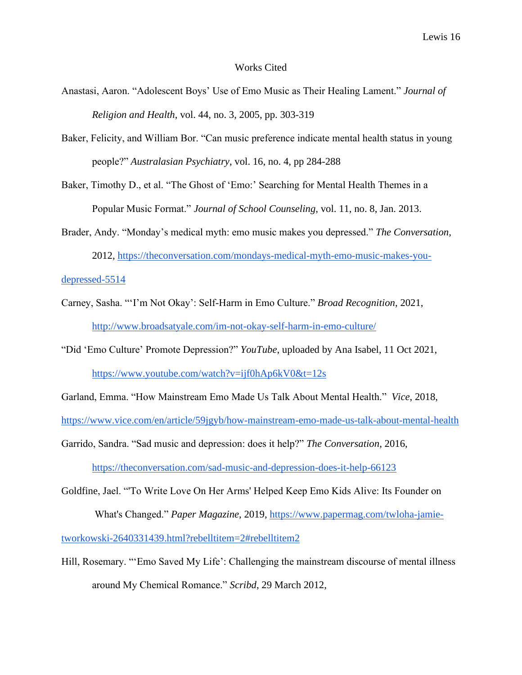#### Works Cited

- Anastasi, Aaron. "Adolescent Boys' Use of Emo Music as Their Healing Lament." *Journal of Religion and Health*, vol. 44, no. 3, 2005, pp. 303-319
- Baker, Felicity, and William Bor. "Can music preference indicate mental health status in young people?" *Australasian Psychiatry*, vol. 16, no. 4, pp 284-288
- Baker, Timothy D., et al. "The Ghost of 'Emo:' Searching for Mental Health Themes in a Popular Music Format." *Journal of School Counseling*, vol. 11, no. 8, Jan. 2013.
- Brader, Andy. "Monday's medical myth: emo music makes you depressed." *The Conversation,* 2012, https://theconversation.com/mondays-medical-myth-emo-music-makes-you-

depressed-5514

- Carney, Sasha. "'I'm Not Okay': Self-Harm in Emo Culture." *Broad Recognition*, 2021, http://www.broadsatyale.com/im-not-okay-self-harm-in-emo-culture/
- "Did 'Emo Culture' Promote Depression?" *YouTube*, uploaded by Ana Isabel, 11 Oct 2021, https://www.youtube.com/watch?v=ijf0hAp6kV0&t=12s

Garland, Emma. "How Mainstream Emo Made Us Talk About Mental Health." *Vice*, 2018,

https://www.vice.com/en/article/59jgyb/how-mainstream-emo-made-us-talk-about-mental-health

Garrido, Sandra. "Sad music and depression: does it help?" *The Conversation*, 2016,

https://theconversation.com/sad-music-and-depression-does-it-help-66123

Goldfine, Jael. "'To Write Love On Her Arms' Helped Keep Emo Kids Alive: Its Founder on

What's Changed." *Paper Magazine*, 2019, https://www.papermag.com/twloha-jamie-

tworkowski-2640331439.html?rebelltitem=2#rebelltitem2

Hill, Rosemary. "'Emo Saved My Life': Challenging the mainstream discourse of mental illness around My Chemical Romance." *Scribd*, 29 March 2012,